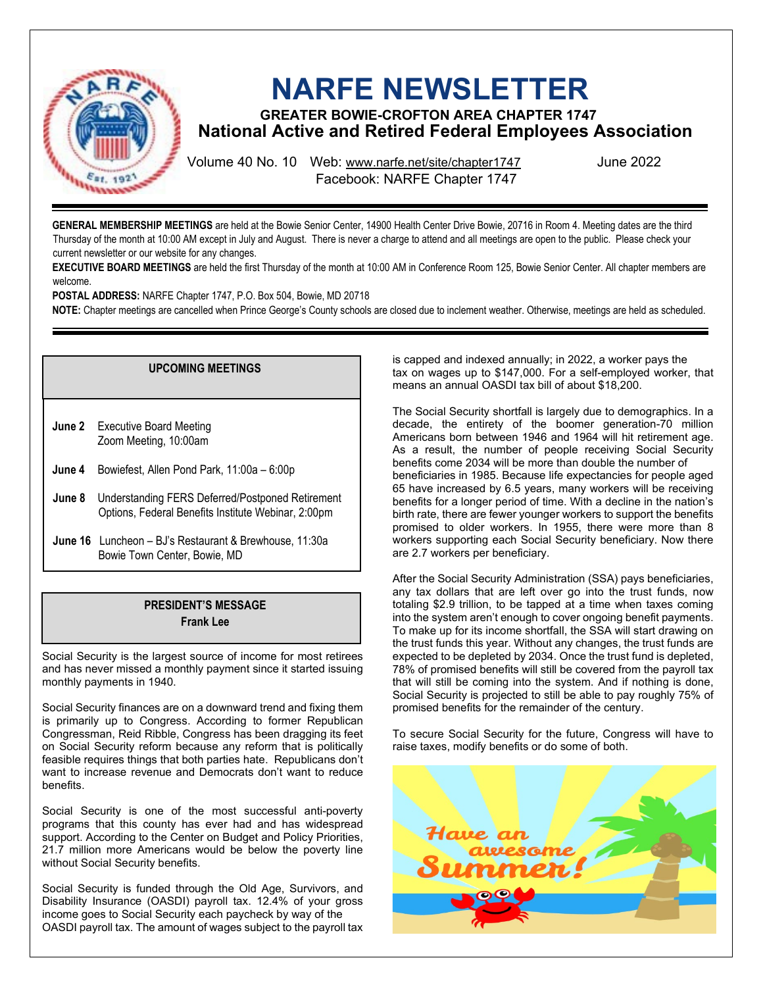

# **NARFE NEWSLETTER**

**GREATER BOWIE-CROFTON AREA CHAPTER 1747 National Active and Retired Federal Employees Association**

Volume 40 No. 10 Web: [www.narfe.net/site/chapter1747](http://www.narfe.net/site/chapter1747/) Facebook: NARFE Chapter 1747

June 2022

**GENERAL MEMBERSHIP MEETINGS** are held at the Bowie Senior Center, 14900 Health Center Drive Bowie, 20716 in Room 4. Meeting dates are the third Thursday of the month at 10:00 AM except in July and August. There is never a charge to attend and all meetings are open to the public. Please check your current newsletter or our website for any changes.

**EXECUTIVE BOARD MEETINGS** are held the first Thursday of the month at 10:00 AM in Conference Room 125, Bowie Senior Center. All chapter members are welcome.

**POSTAL ADDRESS:** NARFE Chapter 1747, P.O. Box 504, Bowie, MD 20718

**NOTE:** Chapter meetings are cancelled when Prince George's County schools are closed due to inclement weather. Otherwise, meetings are held as scheduled.

## **UPCOMING MEETINGS**

**June 2** Executive Board Meeting Zoom Meeting, 10:00am

- **June 4** Bowiefest, Allen Pond Park, 11:00a 6:00p
- **June 8** Understanding FERS Deferred/Postponed Retirement Options, Federal Benefits Institute Webinar, 2:00pm
- **June 16** Luncheon BJ's Restaurant & Brewhouse, 11:30a Bowie Town Center, Bowie, MD

# **PRESIDENT'S MESSAGE Frank Lee**

Social Security is the largest source of income for most retirees and has never missed a monthly payment since it started issuing monthly payments in 1940.

Social Security finances are on a downward trend and fixing them is primarily up to Congress. According to former Republican Congressman, Reid Ribble, Congress has been dragging its feet on Social Security reform because any reform that is politically feasible requires things that both parties hate. Republicans don't want to increase revenue and Democrats don't want to reduce benefits.

Social Security is one of the most successful anti-poverty programs that this county has ever had and has widespread support. According to the Center on Budget and Policy Priorities, 21.7 million more Americans would be below the poverty line without Social Security benefits.

Social Security is funded through the Old Age, Survivors, and Disability Insurance (OASDI) payroll tax. 12.4% of your gross income goes to Social Security each paycheck by way of the OASDI payroll tax. The amount of wages subject to the payroll tax is capped and indexed annually; in 2022, a worker pays the tax on wages up to \$147,000. For a self-employed worker, that means an annual OASDI tax bill of about \$18,200.

The Social Security shortfall is largely due to demographics. In a decade, the entirety of the boomer generation-70 million Americans born between 1946 and 1964 will hit retirement age. As a result, the number of people receiving Social Security benefits come 2034 will be more than double the number of beneficiaries in 1985. Because life expectancies for people aged 65 have increased by 6.5 years, many workers will be receiving benefits for a longer period of time. With a decline in the nation's birth rate, there are fewer younger workers to support the benefits promised to older workers. In 1955, there were more than 8 workers supporting each Social Security beneficiary. Now there are 2.7 workers per beneficiary.

After the Social Security Administration (SSA) pays beneficiaries, any tax dollars that are left over go into the trust funds, now totaling \$2.9 trillion, to be tapped at a time when taxes coming into the system aren't enough to cover ongoing benefit payments. To make up for its income shortfall, the SSA will start drawing on the trust funds this year. Without any changes, the trust funds are expected to be depleted by 2034. Once the trust fund is depleted, 78% of promised benefits will still be covered from the payroll tax that will still be coming into the system. And if nothing is done, Social Security is projected to still be able to pay roughly 75% of promised benefits for the remainder of the century.

To secure Social Security for the future, Congress will have to raise taxes, modify benefits or do some of both.

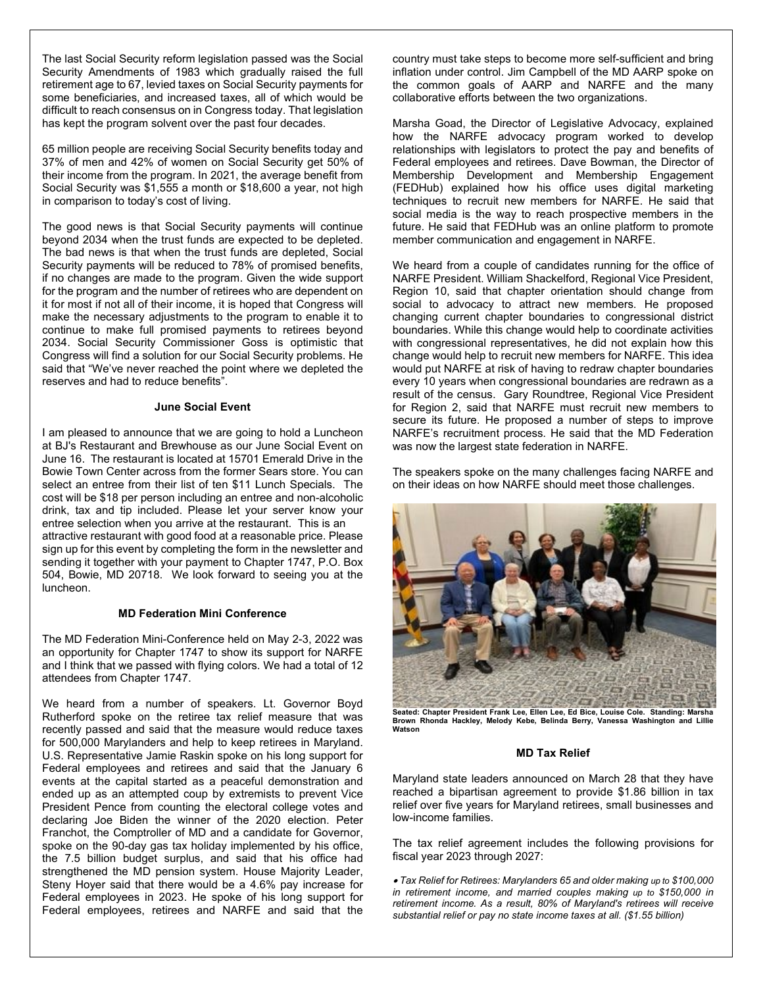The last Social Security reform legislation passed was the Social Security Amendments of 1983 which gradually raised the full retirement age to 67, levied taxes on Social Security payments for some beneficiaries, and increased taxes, all of which would be difficult to reach consensus on in Congress today. That legislation has kept the program solvent over the past four decades.

65 million people are receiving Social Security benefits today and 37% of men and 42% of women on Social Security get 50% of their income from the program. In 2021, the average benefit from Social Security was \$1,555 a month or \$18,600 a year, not high in comparison to today's cost of living.

The good news is that Social Security payments will continue beyond 2034 when the trust funds are expected to be depleted. The bad news is that when the trust funds are depleted, Social Security payments will be reduced to 78% of promised benefits, if no changes are made to the program. Given the wide support for the program and the number of retirees who are dependent on it for most if not all of their income, it is hoped that Congress will make the necessary adjustments to the program to enable it to continue to make full promised payments to retirees beyond 2034. Social Security Commissioner Goss is optimistic that Congress will find a solution for our Social Security problems. He said that "We've never reached the point where we depleted the reserves and had to reduce benefits".

## **June Social Event**

I am pleased to announce that we are going to hold a Luncheon at BJ's Restaurant and Brewhouse as our June Social Event on June 16. The restaurant is located at 15701 Emerald Drive in the Bowie Town Center across from the former Sears store. You can select an entree from their list of ten \$11 Lunch Specials. The cost will be \$18 per person including an entree and non-alcoholic drink, tax and tip included. Please let your server know your entree selection when you arrive at the restaurant. This is an attractive restaurant with good food at a reasonable price. Please sign up for this event by completing the form in the newsletter and sending it together with your payment to Chapter 1747, P.O. Box 504, Bowie, MD 20718. We look forward to seeing you at the luncheon.

## **MD Federation Mini Conference**

The MD Federation Mini-Conference held on May 2-3, 2022 was an opportunity for Chapter 1747 to show its support for NARFE and I think that we passed with flying colors. We had a total of 12 attendees from Chapter 1747.

We heard from a number of speakers. Lt. Governor Boyd Rutherford spoke on the retiree tax relief measure that was recently passed and said that the measure would reduce taxes for 500,000 Marylanders and help to keep retirees in Maryland. U.S. Representative Jamie Raskin spoke on his long support for Federal employees and retirees and said that the January 6 events at the capital started as a peaceful demonstration and ended up as an attempted coup by extremists to prevent Vice President Pence from counting the electoral college votes and declaring Joe Biden the winner of the 2020 election. Peter Franchot, the Comptroller of MD and a candidate for Governor, spoke on the 90-day gas tax holiday implemented by his office, the 7.5 billion budget surplus, and said that his office had strengthened the MD pension system. House Majority Leader, Steny Hoyer said that there would be a 4.6% pay increase for Federal employees in 2023. He spoke of his long support for Federal employees, retirees and NARFE and said that the

country must take steps to become more self-sufficient and bring inflation under control. Jim Campbell of the MD AARP spoke on the common goals of AARP and NARFE and the many collaborative efforts between the two organizations.

Marsha Goad, the Director of Legislative Advocacy, explained how the NARFE advocacy program worked to develop relationships with legislators to protect the pay and benefits of Federal employees and retirees. Dave Bowman, the Director of Membership Development and Membership Engagement (FEDHub) explained how his office uses digital marketing techniques to recruit new members for NARFE. He said that social media is the way to reach prospective members in the future. He said that FEDHub was an online platform to promote member communication and engagement in NARFE.

We heard from a couple of candidates running for the office of NARFE President. William Shackelford, Regional Vice President, Region 10, said that chapter orientation should change from social to advocacy to attract new members. He proposed changing current chapter boundaries to congressional district boundaries. While this change would help to coordinate activities with congressional representatives, he did not explain how this change would help to recruit new members for NARFE. This idea would put NARFE at risk of having to redraw chapter boundaries every 10 years when congressional boundaries are redrawn as a result of the census. Gary Roundtree, Regional Vice President for Region 2, said that NARFE must recruit new members to secure its future. He proposed a number of steps to improve NARFE's recruitment process. He said that the MD Federation was now the largest state federation in NARFE.

The speakers spoke on the many challenges facing NARFE and on their ideas on how NARFE should meet those challenges.



**Seated: Chapter President Frank Lee, Ellen Lee, Ed Bice, Louise Cole. Standing: Marsha Brown Rhonda Hackley, Melody Kebe, Belinda Berry, Vanessa Washington and Lillie Watson**

#### **MD Tax Relief**

Maryland state leaders announced on March 28 that they have reached a bipartisan agreement to provide \$1.86 billion in tax relief over five years for Maryland retirees, small businesses and low-income families.

The tax relief agreement includes the following provisions for fiscal year 2023 through 2027:

• *Tax Relief for Retirees: Marylanders 65 and older making up to \$100,000 in retirement income, and married couples making up to \$150,000 in retirement income. As a result, 80% of Maryland's retirees will receive substantial relief or pay no state income taxes at all. (\$1.55 billion)*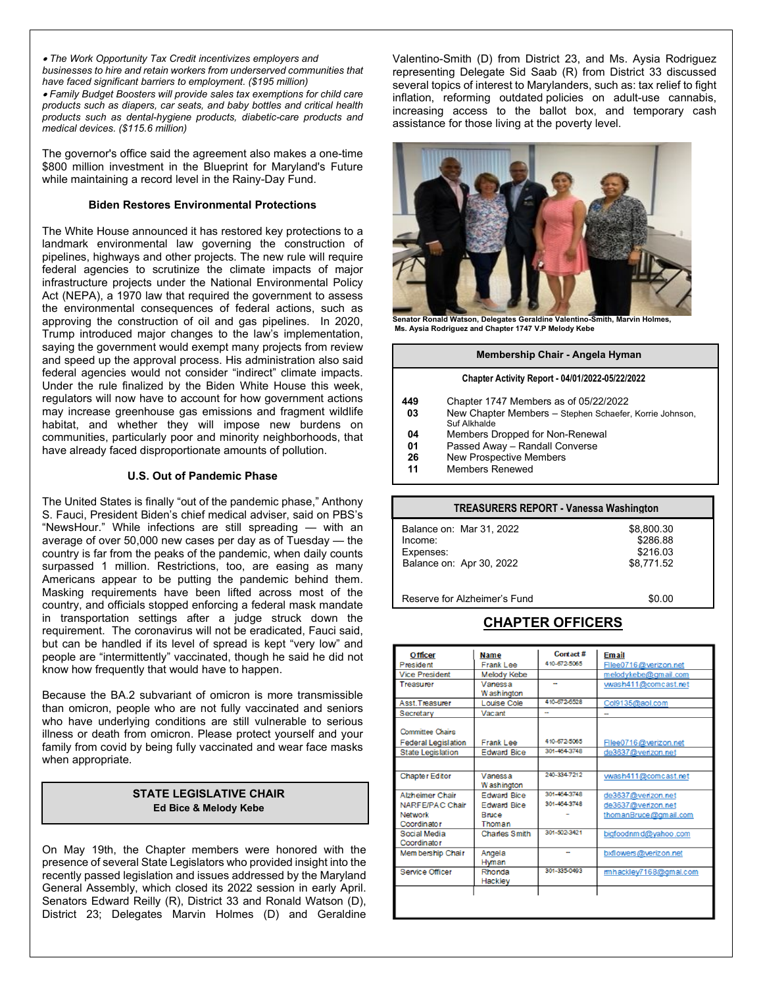• *The Work Opportunity Tax Credit incentivizes employers and businesses to hire and retain workers from underserved communities that have faced significant barriers to employment. (\$195 million)* 

• *Family Budget Boosters will provide sales tax exemptions for child care products such as diapers, car seats, and baby bottles and critical health products such as dental-hygiene products, diabetic-care products and medical devices. (\$115.6 million)* 

The governor's office said the agreement also makes a one-time \$800 million investment in the Blueprint for Maryland's Future while maintaining a record level in the Rainy-Day Fund.

## **Biden Restores Environmental Protections**

The White House announced it has restored key protections to a landmark environmental law governing the construction of pipelines, highways and other projects. The new rule will require federal agencies to scrutinize the climate impacts of major infrastructure projects under the National Environmental Policy Act (NEPA), a 1970 law that required the government to assess the environmental consequences of federal actions, such as approving the construction of oil and gas pipelines. In 2020, Trump introduced major changes to the law's implementation, saying the government would exempt many projects from review and speed up the approval process. His administration also said federal agencies would not consider "indirect" climate impacts. Under the rule finalized by the Biden White House this week, regulators will now have to account for how government actions may increase greenhouse gas emissions and fragment wildlife habitat, and whether they will impose new burdens on communities, particularly poor and minority neighborhoods, that have already faced disproportionate amounts of pollution.

## **U.S. Out of Pandemic Phase**

The United States is finally "out of the pandemic phase," Anthony S. Fauci, President Biden's chief medical adviser, said on PBS's "NewsHour." While infections are still spreading — with an average of over 50,000 new cases per day as of Tuesday — the country is far from the peaks of the pandemic, when daily counts surpassed 1 million. Restrictions, too, are easing as many Americans appear to be putting the pandemic behind them. Masking requirements have been lifted across most of the country, and officials stopped enforcing a federal mask mandate in transportation settings after a judge struck down the requirement. The coronavirus will not be eradicated, Fauci said, but can be handled if its level of spread is kept "very low" and people are "intermittently" vaccinated, though he said he did not know how frequently that would have to happen.

Because the BA.2 subvariant of omicron is more transmissible than omicron, people who are not fully vaccinated and seniors who have underlying conditions are still vulnerable to serious illness or death from omicron. Please protect yourself and your family from covid by being fully vaccinated and wear face masks when appropriate.

## **STATE LEGISLATIVE CHAIR Ed Bice & Melody Kebe**

On May 19th, the Chapter members were honored with the presence of several State Legislators who provided insight into the recently passed legislation and issues addressed by the Maryland General Assembly, which closed its 2022 session in early April. Senators Edward Reilly (R), District 33 and Ronald Watson (D), District 23; Delegates Marvin Holmes (D) and Geraldine Valentino-Smith (D) from District 23, and Ms. Aysia Rodriguez representing Delegate Sid Saab (R) from District 33 discussed several topics of interest to Marylanders, such as: tax relief to fight inflation, reforming outdated policies on adult-use cannabis, increasing access to the ballot box, and temporary cash assistance for those living at the poverty level.



**Senator Ronald Watson, Delegates Geraldine Valentino-Smith, Marvin Holmes, Ms. Aysia Rodriguez and Chapter 1747 V.P Melody Kebe**

#### **Membership Chair - Angela Hyman**

#### **Chapter Activity Report - 04/01/2022-05/22/2022**

- **449** Chapter 1747 Members as of 05/22/2022 **03** New Chapter Members – Stephen Schaefer, Korrie Johnson, Suf Alkhalde **04** Members Dropped for Non-Renewal<br>**01** Passed Away – Randall Converse **01** Passed Away – Randall Converse<br>**26** New Prospective Members
- **26** New Prospective Members<br>**11** Members Renewed
- **11** Members Renewed

| TREASURERS REPORT - Vanessa Washington                                       |                                                  |  |
|------------------------------------------------------------------------------|--------------------------------------------------|--|
| Balance on: Mar 31, 2022<br>Income:<br>Expenses:<br>Balance on: Apr 30, 2022 | \$8,800.30<br>\$286.88<br>\$216.03<br>\$8,771.52 |  |
| Reserve for Alzheimer's Fund                                                 |                                                  |  |

# **CHAPTER OFFICERS**

| <b>Frank Lee</b><br>Melody Kebe<br>Vanessa<br>W ashington<br>Louise Cole<br>Vacant<br><b>Frank Lee</b> | 410-672-5055<br>410-672-6528<br>-<br>410-672-5055 | Filee0716@verizon.net<br>melodykebe@gmail.com<br>wash411@comcast.net<br>Col9135@aol.com<br>Filee0716@verizon.net   |
|--------------------------------------------------------------------------------------------------------|---------------------------------------------------|--------------------------------------------------------------------------------------------------------------------|
|                                                                                                        |                                                   |                                                                                                                    |
|                                                                                                        |                                                   |                                                                                                                    |
|                                                                                                        |                                                   |                                                                                                                    |
|                                                                                                        |                                                   |                                                                                                                    |
|                                                                                                        |                                                   |                                                                                                                    |
|                                                                                                        |                                                   |                                                                                                                    |
|                                                                                                        |                                                   |                                                                                                                    |
|                                                                                                        |                                                   |                                                                                                                    |
|                                                                                                        |                                                   | de3637@verizon.net                                                                                                 |
|                                                                                                        |                                                   |                                                                                                                    |
| Vanessa                                                                                                |                                                   | wash411@comcast.net                                                                                                |
|                                                                                                        |                                                   |                                                                                                                    |
|                                                                                                        |                                                   | de3637@verizon.net                                                                                                 |
| <b>Edward Bice</b>                                                                                     |                                                   | de3637@verizon.net                                                                                                 |
| <b>Bruce</b>                                                                                           |                                                   | thomanBruce@gmail.com                                                                                              |
| Thoman                                                                                                 |                                                   |                                                                                                                    |
| <b>Charles Smith</b>                                                                                   |                                                   | bigfoodnmd@yahoo.com                                                                                               |
|                                                                                                        |                                                   |                                                                                                                    |
| Angela                                                                                                 | $\overline{a}$                                    | bxflowers@verizon.net                                                                                              |
| Hyman                                                                                                  |                                                   |                                                                                                                    |
| Rhonda                                                                                                 |                                                   | mhackley7168@gmal.com                                                                                              |
| Hackley                                                                                                |                                                   |                                                                                                                    |
|                                                                                                        |                                                   |                                                                                                                    |
|                                                                                                        |                                                   |                                                                                                                    |
|                                                                                                        | W ashington<br><b>Edward Bice</b>                 | 301-454-3748<br><b>Edward Bice</b><br>240-334-7212<br>301-454-3748<br>301-454-3748<br>301-502-3421<br>301-335-0493 |